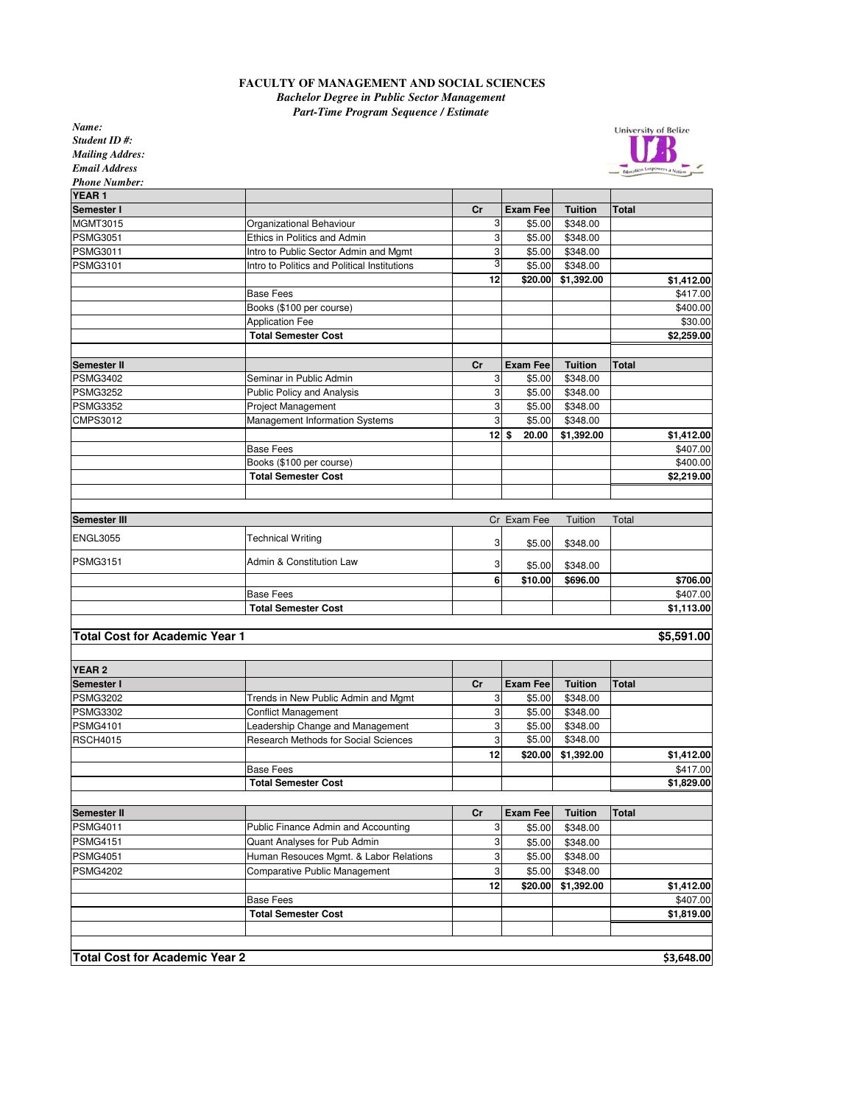## **FACULTY OF MANAGEMENT AND SOCIAL SCIENCES** *Bachelor Degree in Public Sector Management*

*Part-Time Program Sequence / Estimate*

*Name:*

| Name:                                 |                                              |                  |                 |                |              | <b>University of Belize</b> |
|---------------------------------------|----------------------------------------------|------------------|-----------------|----------------|--------------|-----------------------------|
| Student ID#:                          |                                              |                  |                 |                |              |                             |
| <b>Mailing Addres:</b>                |                                              |                  |                 |                |              |                             |
| <b>Email Address</b>                  |                                              |                  |                 |                |              |                             |
| <b>Phone Number:</b>                  |                                              |                  |                 |                |              |                             |
| YEAR <sub>1</sub>                     |                                              |                  |                 |                |              |                             |
| Semester I                            |                                              | cr               | <b>Exam Fee</b> | <b>Tuition</b> | Total        |                             |
| MGMT3015                              | Organizational Behaviour                     | 3                | \$5.00          | \$348.00       |              |                             |
| <b>PSMG3051</b>                       | Ethics in Politics and Admin                 | 3                | \$5.00          | \$348.00       |              |                             |
| PSMG3011                              | Intro to Public Sector Admin and Mgmt        | 3                | \$5.00          | \$348.00       |              |                             |
| <b>PSMG3101</b>                       | Intro to Politics and Political Institutions | 3                | \$5.00          | \$348.00       |              |                             |
|                                       |                                              | 12               | \$20.00         | \$1,392.00     |              | \$1,412.00                  |
|                                       | <b>Base Fees</b>                             |                  |                 |                |              | \$417.00                    |
|                                       | Books (\$100 per course)                     |                  |                 |                |              | \$400.00                    |
|                                       | <b>Application Fee</b>                       |                  |                 |                |              | \$30.00                     |
|                                       | <b>Total Semester Cost</b>                   |                  |                 |                |              | \$2,259.00                  |
|                                       |                                              |                  |                 |                |              |                             |
| Semester II                           |                                              | cr               | <b>Exam Fee</b> | <b>Tuition</b> | Total        |                             |
| <b>PSMG3402</b>                       | Seminar in Public Admin                      | 3                | \$5.00          | \$348.00       |              |                             |
| <b>PSMG3252</b>                       | Public Policy and Analysis                   | 3                | \$5.00          | \$348.00       |              |                             |
| <b>PSMG3352</b>                       | Project Management                           | 3                | \$5.00          | \$348.00       |              |                             |
| <b>CMPS3012</b>                       | Management Information Systems               | 3                | \$5.00          | \$348.00       |              |                             |
|                                       |                                              | $12 \frac{3}{5}$ | 20.00           | \$1,392.00     |              | \$1,412.00                  |
|                                       | <b>Base Fees</b>                             |                  |                 |                |              | \$407.00                    |
|                                       | Books (\$100 per course)                     |                  |                 |                |              | \$400.00                    |
|                                       | <b>Total Semester Cost</b>                   |                  |                 |                |              | \$2,219.00                  |
|                                       |                                              |                  |                 |                |              |                             |
|                                       |                                              |                  |                 |                |              |                             |
| Semester III                          |                                              |                  | Cr Exam Fee     | Tuition        | Total        |                             |
| <b>ENGL3055</b>                       | <b>Technical Writing</b>                     | 3                | \$5.00          | \$348.00       |              |                             |
|                                       |                                              |                  |                 |                |              |                             |
| <b>PSMG3151</b>                       | Admin & Constitution Law                     | 3                | \$5.00          | \$348.00       |              |                             |
|                                       |                                              | 6                | \$10.00         | \$696.00       |              | \$706.00                    |
|                                       | <b>Base Fees</b>                             |                  |                 |                |              | \$407.00                    |
|                                       | <b>Total Semester Cost</b>                   |                  |                 |                |              | \$1,113.00                  |
|                                       |                                              |                  |                 |                |              |                             |
| <b>Total Cost for Academic Year 1</b> |                                              |                  |                 |                |              | \$5,591.00                  |
|                                       |                                              |                  |                 |                |              |                             |
| <b>YEAR 2</b>                         |                                              |                  |                 |                |              |                             |
| Semester I                            |                                              | Cr               | <b>Exam Fee</b> | <b>Tuition</b> | Total        |                             |
| <b>PSMG3202</b>                       | Trends in New Public Admin and Mgmt          | 3                | \$5.00          | \$348.00       |              |                             |
| <b>PSMG3302</b>                       | <b>Conflict Management</b>                   | 3                | \$5.00          | \$348.00       |              |                             |
| <b>PSMG4101</b>                       | Leadership Change and Management             | 3                | \$5.00          | \$348.00       |              |                             |
| <b>RSCH4015</b>                       | Research Methods for Social Sciences         | 3                | \$5.00          | \$348.00       |              |                             |
|                                       |                                              | 12               | \$20.00         | \$1,392.00     |              | \$1,412.00                  |
|                                       | <b>Base Fees</b>                             |                  |                 |                |              | \$417.00                    |
|                                       | <b>Total Semester Cost</b>                   |                  |                 |                |              | \$1,829.00                  |
|                                       |                                              |                  |                 |                |              |                             |
| Semester II                           |                                              | Cr               | <b>Exam Fee</b> | <b>Tuition</b> | <b>Total</b> |                             |
| <b>PSMG4011</b>                       | Public Finance Admin and Accounting          | 3                | \$5.00          | \$348.00       |              |                             |
| <b>PSMG4151</b>                       | Quant Analyses for Pub Admin                 | 3                | \$5.00          | \$348.00       |              |                             |
| <b>PSMG4051</b>                       | Human Resouces Mgmt. & Labor Relations       | 3                | \$5.00          | \$348.00       |              |                             |
| <b>PSMG4202</b>                       | Comparative Public Management                | 3                | \$5.00          | \$348.00       |              |                             |
|                                       |                                              | 12               | \$20.00         | \$1,392.00     |              | \$1,412.00                  |
|                                       | <b>Base Fees</b>                             |                  |                 |                |              | \$407.00                    |
|                                       | <b>Total Semester Cost</b>                   |                  |                 |                |              | \$1,819.00                  |
|                                       |                                              |                  |                 |                |              |                             |
|                                       |                                              |                  |                 |                |              |                             |
|                                       |                                              |                  |                 |                |              |                             |
| <b>Total Cost for Academic Year 2</b> |                                              |                  |                 |                |              | \$3,648.00                  |